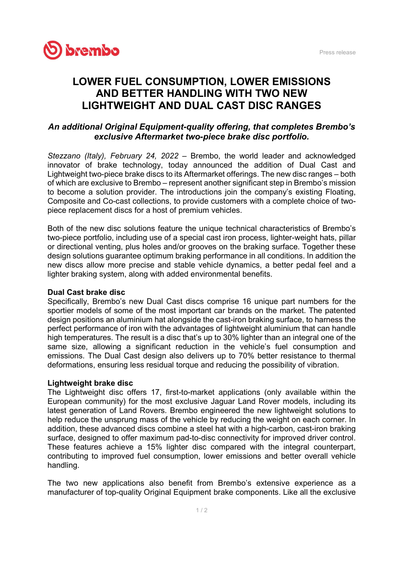

# LOWER FUEL CONSUMPTION, LOWER EMISSIONS AND BETTER HANDLING WITH TWO NEW LIGHTWEIGHT AND DUAL CAST DISC RANGES

## An additional Original Equipment-quality offering, that completes Brembo's exclusive Aftermarket two-piece brake disc portfolio.

Stezzano (Italy), February 24, 2022 – Brembo, the world leader and acknowledged innovator of brake technology, today announced the addition of Dual Cast and Lightweight two-piece brake discs to its Aftermarket offerings. The new disc ranges – both of which are exclusive to Brembo – represent another significant step in Brembo's mission to become a solution provider. The introductions join the company's existing Floating, Composite and Co-cast collections, to provide customers with a complete choice of twopiece replacement discs for a host of premium vehicles.

Both of the new disc solutions feature the unique technical characteristics of Brembo's two-piece portfolio, including use of a special cast iron process, lighter-weight hats, pillar or directional venting, plus holes and/or grooves on the braking surface. Together these design solutions guarantee optimum braking performance in all conditions. In addition the new discs allow more precise and stable vehicle dynamics, a better pedal feel and a lighter braking system, along with added environmental benefits.

### Dual Cast brake disc

Specifically, Brembo's new Dual Cast discs comprise 16 unique part numbers for the sportier models of some of the most important car brands on the market. The patented design positions an aluminium hat alongside the cast-iron braking surface, to harness the perfect performance of iron with the advantages of lightweight aluminium that can handle high temperatures. The result is a disc that's up to 30% lighter than an integral one of the same size, allowing a significant reduction in the vehicle's fuel consumption and emissions. The Dual Cast design also delivers up to 70% better resistance to thermal deformations, ensuring less residual torque and reducing the possibility of vibration.

### Lightweight brake disc

The Lightweight disc offers 17, first-to-market applications (only available within the European community) for the most exclusive Jaguar Land Rover models, including its latest generation of Land Rovers. Brembo engineered the new lightweight solutions to help reduce the unsprung mass of the vehicle by reducing the weight on each corner. In addition, these advanced discs combine a steel hat with a high-carbon, cast-iron braking surface, designed to offer maximum pad-to-disc connectivity for improved driver control. These features achieve a 15% lighter disc compared with the integral counterpart, contributing to improved fuel consumption, lower emissions and better overall vehicle handling.

The two new applications also benefit from Brembo's extensive experience as a manufacturer of top-quality Original Equipment brake components. Like all the exclusive